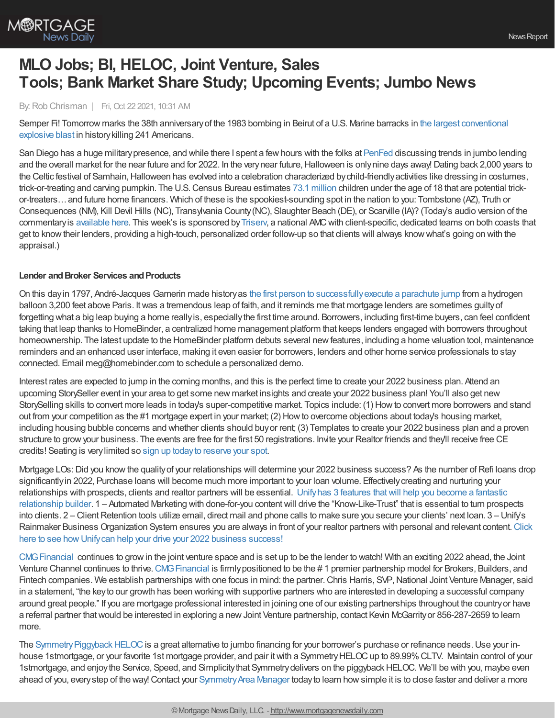

# **MLO Jobs; BI, HELOC, Joint Venture, Sales Tools; Bank Market Share Study; Upcoming Events; Jumbo News**

By:Rob Chrisman | Fri, Oct 22 2021, 10:31 AM

Semper Fi! Tomorrow marks the 38th [anniversaryof](https://mca-marines.org/wp-content/uploads/15498_20181001_2122398041.pdf) the 1983 bombing in Beirut of a U.S. Marine barracks in the largest conventional explosive blast in historykilling 241 Americans.

San Diego has a huge militarypresence, and while there I spent a fewhours with the folks at [PenFed](https://www.penfed.org/mortgage-center/correspondent-lending) discussing trends in jumbo lending and the overall market for the near future and for 2022. In the very near future, Halloween is only nine days away! Dating back 2,000 years to the Celtic festival of Samhain, Halloween has evolved into a celebration characterized by child-friendly activities like dressing in costumes, trick-or-treating and carving pumpkin. The U.S.Census Bureau estimates 73.1 [million](https://lnks.gd/l/eyJhbGciOiJIUzI1NiJ9.eyJidWxsZXRpbl9saW5rX2lkIjoxMDIsInVyaSI6ImJwMjpjbGljayIsImJ1bGxldGluX2lkIjoiMjAyMTEwMTMuNDcyODM4NDEiLCJ1cmwiOiJodHRwczovL3d3dy5jZW5zdXMuZ292L2xpYnJhcnkvdmlzdWFsaXphdGlvbnMvaW50ZXJhY3RpdmUvYWR1bHQtYW5kLXVuZGVyLXRoZS1hZ2Utb2YtMTgtcG9wdWxhdGlvbnMtMjAyMC1jZW5zdXMuaHRtbD91dG1fbWVkaXVtPWVtYWlsJnV0bV9zb3VyY2U9Z292ZGVsaXZlcnkifQ.7MIuG7NcW__fcEUUd6_2tWlJ4MMM9-wOOLR29WyRzYw/s/13071106/br/113816337144-l) children under the age of 18 that are potential trickor-treaters…and future home financers. Which of these is the spookiest-sounding spot in the nation to you: Tombstone (AZ), Truth or Consequences (NM), Kill Devil Hills (NC), Transylvania County (NC), Slaughter Beach (DE), or Scarville (IA)? (Today's audio version of the commentaryis [available](https://linktr.ee/dailymortgagenews) here. This week's is sponsored by[Triserv](https://triservllc.com/lenders), a national AMCwith client-specific, dedicated teams on both coasts that get to knowtheir lenders, providing a high-touch, personalized order follow-up so that clients will always knowwhat's going on with the appraisal.)

# **Lender and Broker Services and Products**

On this dayin 1797, André-Jacques Garnerin made historyas the first person to [successfullyexecute](https://www.history.com/this-day-in-history/the-first-parachutist) a parachute jump from a hydrogen balloon 3,200 feet above Paris. Itwas a tremendous leap of faith, and it reminds me that mortgage lenders are sometimes guiltyof forgetting what a big leap buying a home really is, especially the first time around. Borrowers, including first-time buyers, can feel confident taking that leap thanks to HomeBinder, a centralized home management platform that keeps lenders engaged with borrowers throughout homeownership. The latest update to the HomeBinder platform debuts several newfeatures, including a home valuation tool, maintenance reminders and an enhanced user interface, making it even easier for borrowers, lenders and other home service professionals to stay connected. Email meg@homebinder.com to schedule a personalized demo.

Interest rates are expected to jump in the coming months, and this is the perfect time to create your 2022 business plan. Attend an upcoming StorySeller event in your area to get some new market insights and create your 2022 business plan! You'll also get new StorySelling skills to convert more leads in today's super-competitive market. Topics include: (1) Howto convert more borrowers and stand out from your competition as the #1 mortgage expert in your market; (2) Howto overcome objections about today's housing market, including housing bubble concerns and whether clients should buyor rent; (3) Templates to create your 2022 business plan and a proven structure to growyour business. The events are free for the first 50 registrations. Invite your Realtor friends and they'll receive free CE credits! Seating is verylimited so sign up [todayto](https://urldefense.com/v3/__http:/email.momentifi.com/c_th/28776913/787955?fwd=https:**Awww2.momentifi.com*events*__;Ly8vLw!!DgLF0YGH!p6EgA2aeul7Loi3pXwKde8mSDKXCMfNUvtvWPXE7PBhsrGrPl3Wrh9jT5vsaSGR-74Md$) reserve your spot.

Mortgage LOs: Did you know the quality of your relationships will determine your 2022 business success? As the number of Refi loans drop significantly in 2022, Purchase loans will become much more important to your loan volume. Effectively creating and nurturing your relationships with prospects, clients and realtor partners will be essential. Unifyhas 3 features thatwill help you become a fantastic relationship builder. 1 – Automated Marketing with done-for-you contentwill drive the ["Know-Like-Trust"](https://insights.unifycrm.com/chrisman-unify-6-ways-9418653446) that is essential to turn prospects into clients. 2 – Client Retention tools utilize email, direct mail and phone calls to make sure you secure your clients' next loan. 3 – Unify's Rainmaker Business Organization System ensures you are always in front of your realtor partners with personal and relevant content.Click here to see how Unify can help your drive your 2022 business success!

CMG Financial continues to grow in the joint venture space and is set up to be the lender to watch! With an exciting 2022 ahead, the Joint Venture Channel continues to thrive. CMG Financial is firmly positioned to be the #1 premier partnership model for Brokers, Builders, and Fintech companies. We establish partnerships with one focus in mind: the partner. Chris Harris, SVP, National Joint Venture Manager, said in a statement, "the keyto our growth has been working with supportive partners who are interested in developing a successful company around great people." If you are mortgage professional interested in joining one of our existing partnerships throughout the countryor have a referral partner that would be interested in exploring a new Joint Venture partnership, contact Kevin McGarrity or 856-287-2659 to learn more.

The Symmetry Piggyback HELOC is a great alternative to jumbo financing for your borrower's purchase or refinance needs. Use your inhouse 1stmortgage, or your favorite 1st mortgage provider, and pair it with a Symmetry HELOC up to 89.99% CLTV. Maintain control of your 1stmortgage, and enjoy the Service, Speed, and Simplicity that Symmetry delivers on the piggyback HELOC. We'll be with you, maybe even ahead of you, every step of the way! Contact your Symmetry Area Manager today to learn how simple it is to close faster and deliver a more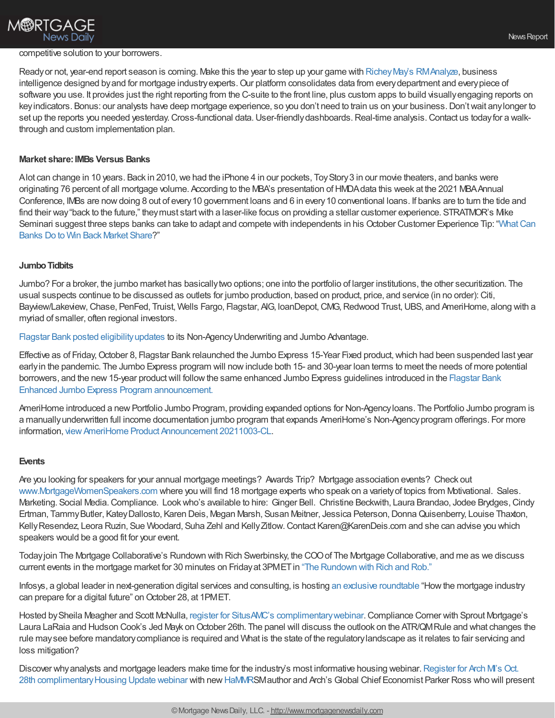

#### competitive solution to your borrowers.

Ready or not, year-end report season is coming. Make this the year to step up your game with Richey May's RMAnalyze, business intelligence designed by and for mortgage industry experts. Our platform consolidates data from every department and every piece of software you use. It provides just the right reporting from the C-suite to the front line, plus custom apps to build visually engaging reports on keyindicators. Bonus: our analysts have deep mortgage experience, so you don't need to train us on your business.Don'twait anylonger to set up the reports you needed yesterday. Cross-functional data. User-friendly dashboards. Real-time analysis. Contact us today for a walkthrough and custom implementation plan.

## **Market share:IMBs Versus Banks**

Alot can change in 10 years. Back in 2010, we had the iPhone 4 in our pockets, Toy Story 3 in our movie theaters, and banks were originating 76 percent of all mortgage volume. According to the MBA's presentation of HMDA data this week at the 2021 MBA Annual Conference, IMBs are nowdoing 8 out of every10 government loans and 6 in every10 conventional loans. If banks are to turn the tide and find their way"back to the future," theymust startwith a laser-like focus on providing a stellar customer experience. STRATMOR's Mike Seminari suggest three steps banks can take to adapt and compete with [independents](https://www.stratmorgroup.com/mortgagesat_tips/what-can-banks-do-to-win-back-market-share/) in his October Customer Experience Tip: "What Can Banks Do to Win Back Market Share?"

#### **Jumbo Tidbits**

Jumbo? For a broker, the jumbo market has basicallytwo options; one into the portfolio of larger institutions, the other securitization. The usual suspects continue to be discussed as outlets for jumbo production, based on product, price, and service (in no order): Citi, Bayview/Lakeview, Chase, PenFed, Truist, Wells Fargo, Flagstar, AIG, IoanDepot, CMG, Redwood Trust, UBS, and AmeriHome, along with a myriad of smaller, often regional investors.

Flagstar Bank posted [eligibilityupdates](https://www.flagstar.com/content/dam/tpo/sellers-guide/announcements/21125.pdf) to its Non-AgencyUnderwriting and Jumbo Advantage.

Effective as of Friday, October 8, Flagstar Bank relaunched the Jumbo Express 15-Year Fixed product, which had been suspended last year earlyin the pandemic. The Jumbo Express program will nowinclude both 15- and 30-year loan terms to meet the needs of more potential borrowers, and the new 15-year product will follow the same enhanced Jumbo Express guidelines introduced in the Flagstar Bank Enhanced Jumbo Express Program [announcement.](https://retail.flagstar.com/Lending/process/loadLogin)

AmeriHome introduced a new Portfolio Jumbo Program, providing expanded options for Non-Agency loans. The Portfolio Jumbo program is a manuallyunderwritten full income documentation jumbo program that expands AmeriHome's Non-Agencyprogram offerings. For more information, view AmeriHome Product Announcement 20211003-CL.

#### **Events**

Are you looking for speakers for your annual mortgage meetings? Awards Trip? Mortgage association events? Check out [www.MortgageWomenSpeakers.com](http://www.mortgagewomenspeakers.com/) where you will find 18 mortgage experts who speak on a varietyof topics from Motivational. Sales. Marketing. Social Media. Compliance. Look who's available to hire: Ginger Bell. Christine Beckwith, Laura Brandao, Jodee Brydges, Cindy Ertman, TammyButler, KateyDallosto, Karen Deis, Megan Marsh, Susan Meitner, Jessica Peterson,DonnaQuisenberry, Louise Thaxton, Kelly Resendez, Leora Ruzin, Sue Woodard, Suha Zehl and Kelly Zitlow. Contact Karen@KarenDeis.com and she can advise you which speakers would be a good fit for your event.

Todayjoin The Mortgage Collaborative's Rundown with Rich Swerbinsky, the COOof The Mortgage Collaborative, and me as we discuss current events in the mortgage market for 30 minutes on Friday at 3PMET in "The [Rundown](https://mtgcoop.zoom.us/webinar/register/WN_hOUDEqURT9m3mhKCJWRM-A) with Rich and Rob."

Infosys, a global leader in next-generation digital services and consulting, is hosting an exclusive [roundtable](https://mortgagedigitalfuture.com/) "Howthe mortgage industry can prepare for a digital future" on October 28, at 1PMET.

Hosted bySheila Meagher and Scott McNulla, register for SitusAMC's [complimentarywebinar](https://register.gotowebinar.com/register/6777460460368956172?utm_campaign=Compliance%20Corner%20Webinars&utm_medium=email&_hsmi=173055900&_hsenc=p2ANqtz-8SeXk4u455g89lox8KEUsLAEiEGuufgPpqPMywV0wifg_6USKJediek6BgCGhSX8N0IC3wguKhcZsoAeytNeDG0B7bZyxE5edhEyzxu4DUZ-niaWw&utm_content=173055900&utm_source=hs_email).Compliance Corner with Sprout Mortgage's Laura LaRaia and Hudson Cook's Jed Mayk on October 26th. The panel will discuss the outlook on the ATR/QMRule and what changes the rule maysee before mandatorycompliance is required and What is the state of the regulatorylandscape as it relates to fair servicing and loss mitigation?

Discover why analysts and mortgage leaders make time for the industry's most informative housing webinar. Register for Arch M's Oct. 28th complimentary Housing Update webinar with new [HaMMRS](https://na01.safelinks.protection.outlook.com/?url=https%253A%252F%252Fcl.exct.net%252F%253Fqs%253D889261d321ae52b0b8760f754252940855d91c1d11028ab22bd0b7ad715f83d3abf851764994b0428ba552eac829db72&data=04%257C01%257C%257C30d52330790f45b3dcf508d99424a220%257C84df9e7fe9f640afb435aaaaaaaaaaaa%257C1%257C0%257C637703707334397764%257CUnknown%257CTWFpbGZsb3d8eyJWIjoiMC4wLjAwMDAiLCJQIjoiV2luMzIiLCJBTiI6Ik1haWwiLCJXVCI6Mn0%253D%257C1000&sdata=cSW5Bm1OX7cyGqQ0S0z%252F0RCjdCXlgwQ4IjoJkrtagXU%253D&reserved=0)Mauthor and Arch's Global Chief Economist Parker Ross who will present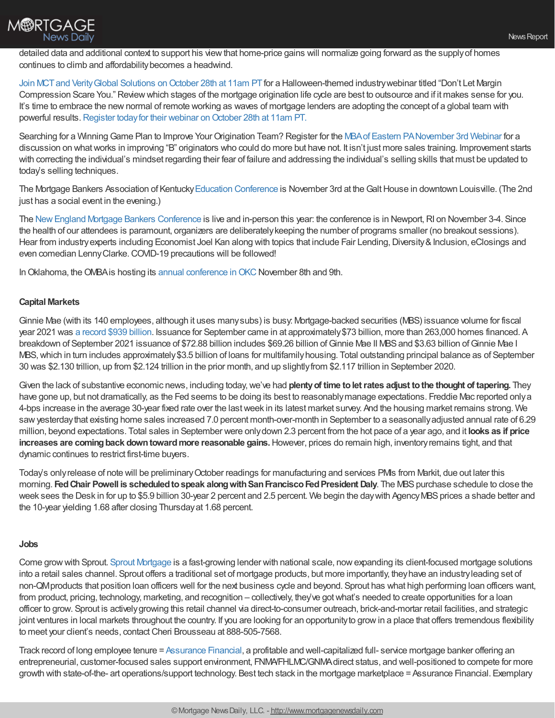

detailed data and additional context to support his view that home-price gains will normalize going forward as the supply of homes continues to climb and affordabilitybecomes a headwind.

Join MCT and Verity Global Solutions on October 28th at 11am PT for a Halloween-themed industry webinar titled "Don't Let Margin Compression Scare You." Reviewwhich stages of the mortgage origination life cycle are best to outsource and if it makes sense for you. It's time to embrace the newnormal of remote working as waves of mortgage lenders are adopting the concept of a global team with powerful results. Register today for their webinar on October 28th at 11am PT.

Searching for a Winning Game Plan to Improve Your Origination Team? Register for the MBA of Eastern [PANovember](https://register.gotowebinar.com/register/2695810514911555344) 3rd Webinar for a discussion on whatworks in improving "B" originators who could do more but have not. It isn't just more sales training. Improvement starts with correcting the individual's mindset regarding their fear of failure and addressing the individual's selling skills that must be updated to today's selling techniques.

The Mortgage Bankers Association of Kentucky Education [Conference](http://www.mbaky.org/education/) is November 3rd at the Galt House in downtown Louisville. (The 2nd just has a social event in the evening.)

The New England Mortgage Bankers Conference is live and in-person this year: the conference is in Newport, RI on November 3-4. Since the health of our attendees is paramount, organizers are deliberatelykeeping the number of programs smaller (no breakout sessions). Hear from industry experts including Economist Joel Kan along with topics that include Fair Lending, Diversity & Inclusion, eClosings and even comedian LennyClarke.COVID-19 precautions will be followed!

In Oklahoma, the OMBA is hosting its annual [conference](https://www.omba2021.com/) in OKC November 8th and 9th.

# **Capital Markets**

Ginnie Mae (with its 140 employees, although it uses manysubs) is busy: Mortgage-backed securities (MBS) issuance volume for fiscal year 2021 was a [record](https://www.ginniemae.gov/data_and_reports/reporting/Pages/monthly_issuance_reports.aspx) \$939 billion. Issuance for September came in at approximately\$73 billion, more than 263,000 homes financed. A breakdown of September 2021 issuance of \$72.88 billion includes \$69.26 billion of Ginnie Mae II MBS and \$3.63 billion of Ginnie Mae I MBS, which in turn includes approximately \$3.5 billion of loans for multifamily housing. Total outstanding principal balance as of September 30 was \$2.130 trillion, up from \$2.124 trillion in the prior month, and up slightlyfrom \$2.117 trillion in September 2020.

Given the lack of substantive economic news, including today,we've had **plentyof time toletrates adjust tothe thought of tapering.** They have gone up, but not dramatically, as the Fed seems to be doing its best to reasonablymanage expectations. Freddie Mac reported onlya 4-bps increase in the average 30-year fixed rate over the lastweek in its latest market survey. And the housing market remains strong. We saw yesterday that existing home sales increased 7.0 percent month-over-month in September to a seasonally adjusted annual rate of 6.29 million, beyond expectations. Total sales in September were onlydown 2.3 percent from the hot pace of a year ago, and it **looks as if price increases are comingback downtowardmore reasonable gains.**However, prices do remain high, inventoryremains tight, and that dynamic continues to restrict first-time buyers.

Today's only release of note will be preliminary October readings for manufacturing and services PMIs from Markit, due out later this morning. **FedChair Powell is scheduledtospeak alongwithSanFranciscoFedPresident Daly**. The MBSpurchase schedule to close the week sees the Desk in for up to \$5.9 billion 30-year 2 percent and 2.5 percent. We begin the day with Agency MBS prices a shade better and the 10-year yielding 1.68 after closing Thursdayat 1.68 percent.

### **Jobs**

Come growwith Sprout. Sprout [Mortgage](https://www.sproutmortgage.com/) is a fast-growing lender with national scale, nowexpanding its client-focused mortgage solutions into a retail sales channel. Sprout offers a traditional set of mortgage products, but more importantly, theyhave an industryleading set of non-QMproducts that position loan officers well for the next business cycle and beyond. Sprout has what high performing loan officers want, from product, pricing, technology, marketing, and recognition – collectively, they've got what's needed to create opportunities for a loan officer to grow. Sprout is activelygrowing this retail channel via direct-to-consumer outreach, brick-and-mortar retail facilities, and strategic joint ventures in local markets throughout the country. If you are looking for an opportunity to grow in a place that offers tremendous flexibility to meet your client's needs, contact Cheri Brousseau at 888-505-7568.

Track record of long employee tenure = [Assurance](http://www.assurancemortgagelo.com/) Financial, a profitable and well-capitalized full- service mortgage banker offering an entrepreneurial, customer-focused sales support environment, FNMA/FHLMC/GNMAdirect status, and well-positioned to compete for more growth with state-of-the- art operations/support technology. Best tech stack in the mortgage marketplace = Assurance Financial. Exemplary